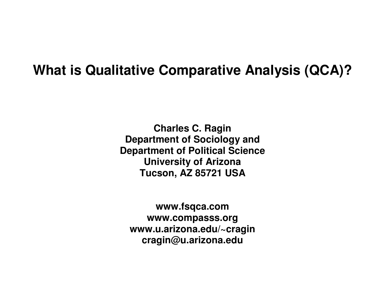### **What is Qualitative Comparative Analysis (QCA)?**

**Charles C. Ragin Department of Sociology and Department of Political ScienceUniversity of ArizonaTucson, AZ 85721 USA**

**www.fsqca.com www.compasss.org www.u.arizona.edu/~cragincragin@u.arizona.edu**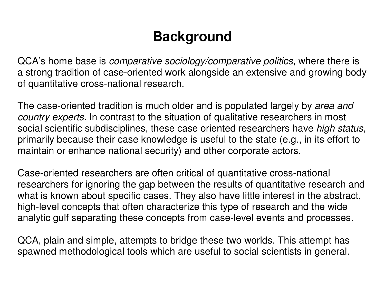# **Background**

QCA's home base is comparative sociology/comparative politics, where there is a strong tradition of case-oriented work alongside an extensive and growing bodyof quantitative cross-national research.

The case-oriented tradition is much older and is populated largely by area and country experts. In contrast to the situation of qualitative researchers in most social scientific subdisciplines, these case oriented researchers have high status, primarily because their case knowledge is useful to the state (e.g., in its effort tomaintain or enhance national security) and other corporate actors.

Case-oriented researchers are often critical of quantitative cross-nationalresearchers for ignoring the gap between the results of quantitative research and what is known about specific cases. They also have little interest in the abstract,high-level concepts that often characterize this type of research and the wideanalytic gulf separating these concepts from case-level events and processes.

QCA, plain and simple, attempts to bridge these two worlds. This attempt hasspawned methodological tools which are useful to social scientists in general.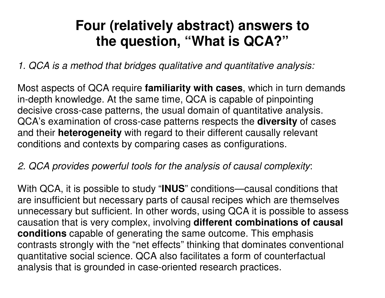## **Four (relatively abstract) answers tothe question, "What is QCA?"**

1. QCA is a method that bridges qualitative and quantitative analysis:

Most aspects of QCA require **familiarity with cases**, which in turn demandsin-depth knowledge. At the same time, QCA is capable of pinpointing decisive cross-case patterns, the usual domain of quantitative analysis. QCA's examination of cross-case patterns respects the **diversity** of casesand their **heterogeneity** with regard to their different causally relevantconditions and contexts by comparing cases as configurations.

#### 2. QCA provides powerful tools for the analysis of causal complexity:

With QCA, it is possible to study "**INUS**" conditions—causal conditions thatare insufficient but necessary parts of causal recipes which are themselves unnecessary but sufficient. In other words, using QCA it is possible to assess causation that is very complex, involving **different combinations of causalconditions** capable of generating the same outcome. This emphasis contrasts strongly with the "net effects" thinking that dominates conventionalquantitative social science. QCA also facilitates a form of counterfactualanalysis that is grounded in case-oriented research practices.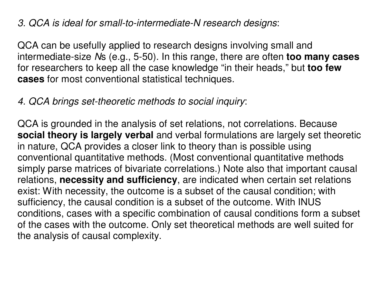#### 3. QCA is ideal for small-to-intermediate-N research designs:

QCA can be usefully applied to research designs involving small and intermediate-size Ns (e.g., 5-50). In this range, there are often **too many cases** for researchers to keep all the case knowledge "in their heads," but **too fewcases** for most conventional statistical techniques.

### 4. QCA brings set-theoretic methods to social inquiry:

QCA is grounded in the analysis of set relations, not correlations. Because **social theory is largely verbal** and verbal formulations are largely set theoreticin nature, QCA provides a closer link to theory than is possible using conventional quantitative methods. (Most conventional quantitative methods simply parse matrices of bivariate correlations.) Note also that important causalrelations, **necessity and sufficiency**, are indicated when certain set relationsexist: With necessity, the outcome is a subset of the causal condition; withsufficiency, the causal condition is a subset of the outcome. With INUS conditions, cases with a specific combination of causal conditions form a subsetof the cases with the outcome. Only set theoretical methods are well suited forthe analysis of causal complexity.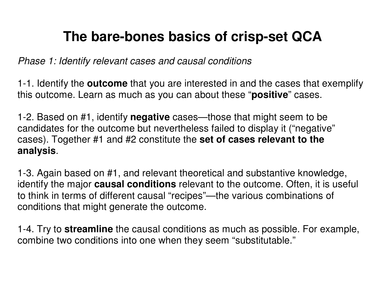## **The bare-bones basics of crisp-set QCA**

Phase 1: Identify relevant cases and causal conditions

1-1. Identify the **outcome** that you are interested in and the cases that exemplifythis outcome. Learn as much as you can about these "**positive**" cases.

1-2. Based on #1, identify **negative** cases—those that might seem to be candidates for the outcome but nevertheless failed to display it ("negative"cases). Together #1 and #2 constitute the **set of cases relevant to theanalysis**.

1-3. Again based on #1, and relevant theoretical and substantive knowledge,identify the major **causal conditions** relevant to the outcome. Often, it is usefulto think in terms of different causal "recipes"—the various combinations ofconditions that might generate the outcome.

1-4. Try to **streamline** the causal conditions as much as possible. For example,combine two conditions into one when they seem "substitutable."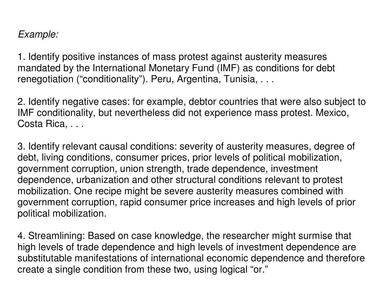#### Example:

1. Identify positive instances of mass protest against austerity measures mandated by the International Monetary Fund (IMF) as conditions for debtrenegotiation ("conditionality"). Peru, Argentina, Tunisia, . . .

2. Identify negative cases: for example, debtor countries that were also subject toIMF conditionality, but nevertheless did not experience mass protest. Mexico,Costa Rica, ...

3. Identify relevant causal conditions: severity of austerity measures, degree ofdebt, living conditions, consumer prices, prior levels of political mobilization,government corruption, union strength, trade dependence, investmentdependence, urbanization and other structural conditions relevant to protest mobilization. One recipe might be severe austerity measures combined with government corruption, rapid consumer price increases and high levels of priorpolitical mobilization.

4. Streamlining: Based on case knowledge, the researcher might surmise thathigh levels of trade dependence and high levels of investment dependence are substitutable manifestations of international economic dependence and thereforecreate a single condition from these two, using logical "or."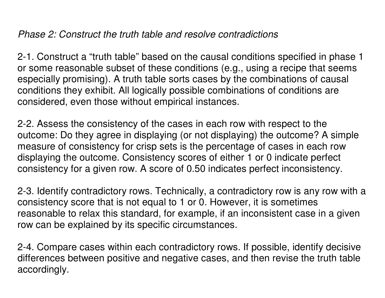### Phase 2: Construct the truth table and resolve contradictions

2-1. Construct a "truth table" based on the causal conditions specified in phase 1or some reasonable subset of these conditions (e.g., using a recipe that seemsespecially promising). A truth table sorts cases by the combinations of causalconditions they exhibit. All logically possible combinations of conditions areconsidered, even those without empirical instances.

2-2. Assess the consistency of the cases in each row with respect to the outcome: Do they agree in displaying (or not displaying) the outcome? A simplemeasure of consistency for crisp sets is the percentage of cases in each row displaying the outcome. Consistency scores of either 1 or 0 indicate perfectconsistency for a given row. A score of 0.50 indicates perfect inconsistency.

2-3. Identify contradictory rows. Technically, a contradictory row is any row with aconsistency score that is not equal to 1 or 0. However, it is sometimes reasonable to relax this standard, for example, if an inconsistent case in a givenrow can be explained by its specific circumstances.

2-4. Compare cases within each contradictory rows. If possible, identify decisive differences between positive and negative cases, and then revise the truth tableaccordingly.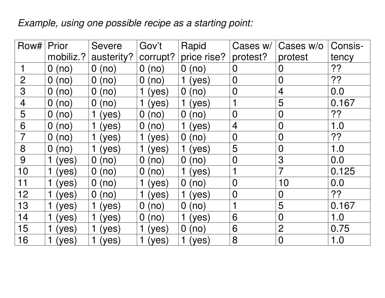### Example, using one possible recipe as a starting point:

| Row#           | Prior                 | <b>Severe</b>                     | Gov't                           | Rapid                  | Cases w/       | Cases w/o      | Consis- |
|----------------|-----------------------|-----------------------------------|---------------------------------|------------------------|----------------|----------------|---------|
|                | mobiliz.?             | austerity?                        | corrupt?                        | price rise?            | protest?       | protest        | tency   |
|                | 0<br>(no)             | $\overline{0}$<br>no)             | $\overline{0}$<br>$\mathsf{no}$ | $\overline{0}$<br>(no) | $\overline{0}$ | 0              | 22      |
| $\overline{2}$ | 0<br>(no)             | $\overline{0}$<br>no)             | $\overline{0}$<br>$\mathsf{no}$ | yes)                   | $\mathbf 0$    | $\overline{0}$ | ??      |
| 3              | 0<br>$\mathsf{no}$    | $\overline{0}$<br>no              | yes)                            | $\overline{0}$<br>(no  | $\mathbf 0$    | 4              | 0.0     |
| $\overline{4}$ | O<br>(no              | $\overline{0}$<br>no)             | yes)                            | (yes)                  | 1              | 5              | 0.167   |
| 5              | 0<br>[no]             | yes)                              | $\overline{0}$<br>no            | $\overline{0}$<br>(no) | $\mathbf 0$    | $\mathbf 0$    | ??      |
| 6              | 0<br>$\mathsf{no}$    | yes)                              | $\overline{0}$<br>no            | yes)                   | $\overline{4}$ | $\mathbf 0$    | 1.0     |
|                | $\overline{0}$<br>(no | yes)                              | yes)                            | $\overline{0}$<br>(no) | $\mathbf 0$    | $\mathbf 0$    | 22      |
| 8              | 0<br>(no)             | yes)                              | yes)                            | yes)                   | 5              | $\overline{0}$ | 1.0     |
| 9              | yes)                  | $\overline{0}$<br>no)             | $\overline{0}$<br>$\mathsf{no}$ | $\overline{0}$<br>(no) | $\overline{0}$ | 3              | 0.0     |
| 10             | (yes)                 | $\overline{0}$<br>$\overline{no}$ | $\overline{0}$<br>(no)          | yes)                   | 1              | $\overline{7}$ | 0.125   |
| 11             | 1<br>(yes)            | $\overline{0}$<br>no)             | yes)                            | $\overline{0}$<br>(no) | $\overline{0}$ | 10             | 0.0     |
| 12             | (yes)                 | $\overline{0}$<br>no)             | yes)                            | (yes)                  | $\mathbf 0$    | $\overline{0}$ | 22      |
| 13             | (yes)                 | yes)                              | $\overline{0}$<br>$\mathsf{no}$ | $\overline{0}$<br>(no) | 1              | 5              | 0.167   |
| 14             | (yes)                 | yes)                              | $\overline{0}$<br>$ NO\rangle$  | (yes)                  | 6              | $\overline{0}$ | 1.0     |
| 15             | yes)                  | yes)                              | yes)                            | $\overline{0}$<br>(no) | 6              | $\overline{2}$ | 0.75    |
| 16             | (yes)                 | yes)                              | yes)                            | yes)                   | 8              | $\overline{0}$ | 1.0     |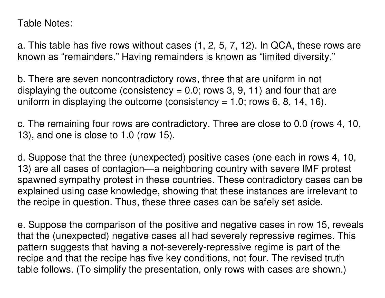Table Notes:

a. This table has five rows without cases (1, 2, 5, 7, 12). In QCA, these rows areknown as "remainders." Having remainders is known as "limited diversity."

b. There are seven noncontradictory rows, three that are uniform in notdisplaying the outcome (consistency  $= 0.0$ ; rows 3, 9, 11) and four that are uniform in displaying the outcome (consistency  $= 1.0$ ; rows 6, 8, 14, 16).

c. The remaining four rows are contradictory. Three are close to 0.0 (rows 4, 10,13), and one is close to 1.0 (row 15).

d. Suppose that the three (unexpected) positive cases (one each in rows 4, 10,13) are all cases of contagion—a neighboring country with severe IMF protest spawned sympathy protest in these countries. These contradictory cases can be explained using case knowledge, showing that these instances are irrelevant tothe recipe in question. Thus, these three cases can be safely set aside.

e. Suppose the comparison of the positive and negative cases in row 15, revealsthat the (unexpected) negative cases all had severely repressive regimes. Thispattern suggests that having a not-severely-repressive regime is part of the recipe and that the recipe has five key conditions, not four. The revised truthtable follows. (To simplify the presentation, only rows with cases are shown.)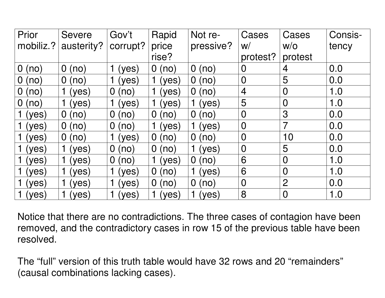| Prior     | <b>Severe</b>          | Gov't    | Rapid                  | Not re-                | Cases          | Cases          | Consis- |
|-----------|------------------------|----------|------------------------|------------------------|----------------|----------------|---------|
| mobiliz.? | austerity?             | corrupt? | price                  | pressive?              | W/             | W/O            | tency   |
|           |                        |          | rise?                  |                        | protest?       | protest        |         |
| 0<br>(no) | $\overline{0}$<br>(no) | yes)     | $\overline{0}$<br>(no) | $\overline{0}$<br>(no) | 0              | $\overline{4}$ | 0.0     |
| 0<br>(no  | $\overline{0}$<br>(no) | yes)     | (yes)<br>1             | $\overline{0}$<br>(no) | $\overline{0}$ | 5              | 0.0     |
| 0<br>(no  | (yes)                  | 0<br>no) | (yes)                  | $\overline{0}$<br>(no) | $\overline{4}$ | $\overline{0}$ | 1.0     |
| O<br>(no  | (yes)                  | yes)     | (yes)<br>1             | (yes)                  | 5              | $\overline{0}$ | 1.0     |
| (yes)     | $\overline{O}$<br>(no) | 0<br>(no | 0<br>(no)              | $\overline{0}$<br>(no) | $\mathbf 0$    | 3              | 0.0     |
| (yes)     | $\overline{O}$<br>(no) | 0<br>(no | (yes)                  | (yes)                  | $\overline{0}$ | 7              | 0.0     |
| (yes)     | $\overline{O}$<br>(no) | yes)     | 0<br>(no)              | $\overline{0}$<br>(no) | $\overline{0}$ | 10             | 0.0     |
| (yes)     | (yes)                  | 0<br>no) | 0<br>(no               | (yes)                  | $\overline{0}$ | 5              | 0.0     |
| (yes)     | (yes)                  | 0<br>(no | (yes)                  | $\overline{0}$<br>(no) | 6              | $\overline{0}$ | 1.0     |
| yes)      | yes)                   | yes)     | $\overline{0}$<br>no)  | (yes)                  | 6              | $\overline{0}$ | 1.0     |
| yes)      | yes)                   | yes)     | $\overline{0}$<br>no)  | $\overline{0}$<br>(no) | $\overline{0}$ | $\overline{2}$ | 0.0     |
| (yes)     | yes)                   | yes)     | yes)                   | (yes)                  | 8              | $\overline{0}$ | 1.0     |

Notice that there are no contradictions. The three cases of contagion have been removed, and the contradictory cases in row 15 of the previous table have beenresolved.

The "full" version of this truth table would have 32 rows and 20 "remainders"(causal combinations lacking cases).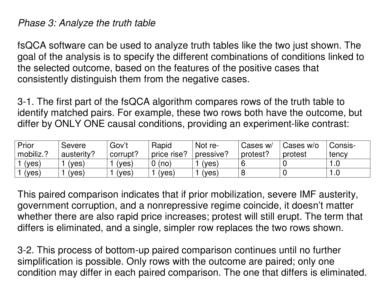#### Phase 3: Analyze the truth table

fsQCA software can be used to analyze truth tables like the two just shown. The goal of the analysis is to specify the different combinations of conditions linked tothe selected outcome, based on the features of the positive cases thatconsistently distinguish them from the negative cases.

3-1. The first part of the fsQCA algorithm compares rows of the truth table to identify matched pairs. For example, these two rows both have the outcome, butdiffer by ONLY ONE causal conditions, providing an experiment-like contrast:

| Prior     | Severe     | Gov't    | Rapid       | Not re-   | Cases w/ | Cases w/o | Consis- |
|-----------|------------|----------|-------------|-----------|----------|-----------|---------|
| mobiliz.? | austerity? | corrupt? | price rise? | pressive? | protest? | protest   | tency   |
| (yes)     | 'yes,      | (ves)    | (no)        | (ves)     |          |           |         |
| 'yes)     | $'$ ves,   | (yes     | 'yes,       | (yes)     |          |           | 1.U     |

This paired comparison indicates that if prior mobilization, severe IMF austerity,government corruption, and a nonrepressive regime coincide, it doesn't matter whether there are also rapid price increases; protest will still erupt. The term thatdiffers is eliminated, and a single, simpler row replaces the two rows shown.

3-2. This process of bottom-up paired comparison continues until no furthersimplification is possible. Only rows with the outcome are paired; only onecondition may differ in each paired comparison. The one that differs is eliminated.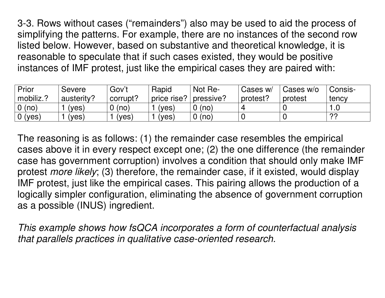3-3. Rows without cases ("remainders") also may be used to aid the process of simplifying the patterns. For example, there are no instances of the second rowlisted below. However, based on substantive and theoretical knowledge, it isreasonable to speculate that if such cases existed, they would be positiveinstances of IMF protest, just like the empirical cases they are paired with:

| Prior     | <b>Severe</b> | Gov't    | Rapid       | Not Re-   | Cases w/ | Cases w/o | Consis- |
|-----------|---------------|----------|-------------|-----------|----------|-----------|---------|
| mobiliz.? | austerity?    | corrupt? | price rise? | pressive? | protest? | protest   | tency   |
| 0 (no)    | (ves)         | (no)     | $'$ yes,    | (no)      |          |           | .0      |
| 0(yes)    | (ves)         | (yes)    | (ves)       | (no)      |          | ◟         | ??      |

The reasoning is as follows: (1) the remainder case resembles the empirical cases above it in every respect except one; (2) the one difference (the remainder case has government corruption) involves a condition that should only make IMFprotest *more likely*; (3) therefore, the remainder case, if it existed, would display IMF protest, just like the empirical cases. This pairing allows the production of a logically simpler configuration, eliminating the absence of government corruptionas a possible (INUS) ingredient.

This example shows how fsQCA incorporates a form of counterfactual analysisthat parallels practices in qualitative case-oriented research.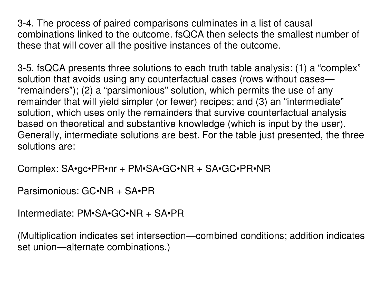3-4. The process of paired comparisons culminates in a list of causalcombinations linked to the outcome. fsQCA then selects the smallest number ofthese that will cover all the positive instances of the outcome.

3-5. fsQCA presents three solutions to each truth table analysis: (1) a "complex"solution that avoids using any counterfactual cases (rows without cases— "remainders"); (2) a "parsimonious" solution, which permits the use of any remainder that will yield simpler (or fewer) recipes; and (3) an "intermediate" solution, which uses only the remainders that survive counterfactual analysis based on theoretical and substantive knowledge (which is input by the user). Generally, intermediate solutions are best. For the table just presented, the threesolutions are:

Complex: SA•gc•PR•nr + PM•SA•GC•NR + SA•GC•PR•NR

Parsimonious: GC•NR + SA•PR

Intermediate: PM•SA•GC•NR + SA•PR

(Multiplication indicates set intersection—combined conditions; addition indicatesset union—alternate combinations.)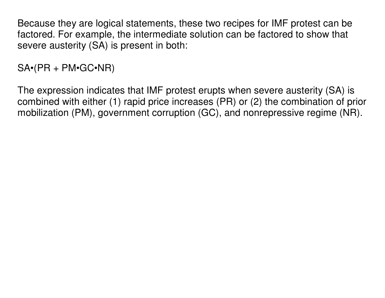Because they are logical statements, these two recipes for IMF protest can be factored. For example, the intermediate solution can be factored to show thatsevere austerity (SA) is present in both:

SA•(PR + PM•GC•NR)

The expression indicates that IMF protest erupts when severe austerity (SA) is combined with either (1) rapid price increases (PR) or (2) the combination of priormobilization (PM), government corruption (GC), and nonrepressive regime (NR).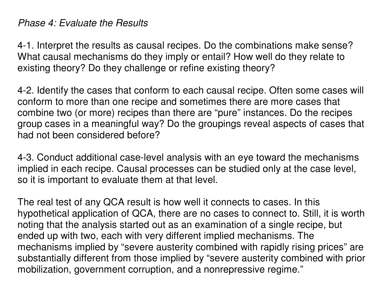#### Phase 4: Evaluate the Results

4-1. Interpret the results as causal recipes. Do the combinations make sense?What causal mechanisms do they imply or entail? How well do they relate toexisting theory? Do they challenge or refine existing theory?

4-2. Identify the cases that conform to each causal recipe. Often some cases willconform to more than one recipe and sometimes there are more cases that combine two (or more) recipes than there are "pure" instances. Do the recipes group cases in a meaningful way? Do the groupings reveal aspects of cases thathad not been considered before?

4-3. Conduct additional case-level analysis with an eye toward the mechanisms implied in each recipe. Causal processes can be studied only at the case level,so it is important to evaluate them at that level.

The real test of any QCA result is how well it connects to cases. In this hypothetical application of QCA, there are no cases to connect to. Still, it is worthnoting that the analysis started out as an examination of a single recipe, butended up with two, each with very different implied mechanisms. The mechanisms implied by "severe austerity combined with rapidly rising prices" are substantially different from those implied by "severe austerity combined with priormobilization, government corruption, and a nonrepressive regime."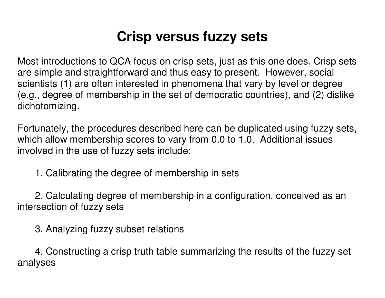## **Crisp versus fuzzy sets**

Most introductions to QCA focus on crisp sets, just as this one does. Crisp setsare simple and straightforward and thus easy to present. However, socialscientists (1) are often interested in phenomena that vary by level or degree (e.g., degree of membership in the set of democratic countries), and (2) dislikedichotomizing.

Fortunately, the procedures described here can be duplicated using fuzzy sets,which allow membership scores to vary from 0.0 to 1.0. Additional issuesinvolved in the use of fuzzy sets include:

1. Calibrating the degree of membership in sets

2. Calculating degree of membership in a configuration, conceived as anintersection of fuzzy sets

3. Analyzing fuzzy subset relations

4. Constructing a crisp truth table summarizing the results of the fuzzy setanalyses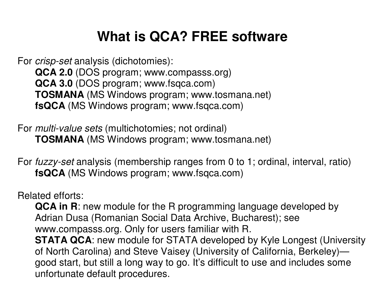# **What is QCA? FREE software**

For crisp-set analysis (dichotomies): **QCA 2.0** (DOS program; www.compasss.org)**QCA 3.0** (DOS program; www.fsqca.com) **TOSMANA** (MS Windows program; www.tosmana.net)**fsQCA** (MS Windows program; www.fsqca.com)

For multi-value sets (multichotomies; not ordinal)**TOSMANA** (MS Windows program; www.tosmana.net)

For fuzzy-set analysis (membership ranges from 0 to 1; ordinal, interval, ratio)**fsQCA** (MS Windows program; www.fsqca.com)

Related efforts:

 **QCA in R**: new module for the R programming language developed byAdrian Dusa (Romanian Social Data Archive, Bucharest); seewww.compasss.org. Only for users familiar with R.

 **STATA QCA**: new module for STATA developed by Kyle Longest (Universityof North Carolina) and Steve Vaisey (University of California, Berkeley) good start, but still a long way to go. It's difficult to use and includes someunfortunate default procedures.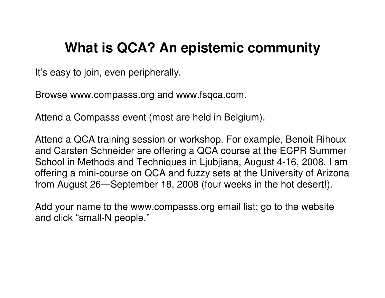### **What is QCA? An epistemic community**

It's easy to join, even peripherally.

Browse www.compasss.org and www.fsqca.com.

Attend a Compasss event (most are held in Belgium).

Attend a QCA training session or workshop. For example, Benoit Rihoux and Carsten Schneider are offering a QCA course at the ECPR Summer School in Methods and Techniques in Ljubjiana, August 4-16, 2008. I amoffering a mini-course on QCA and fuzzy sets at the University of Arizonafrom August 26—September 18, 2008 (four weeks in the hot desert!).

Add your name to the www.compasss.org email list; go to the websiteand click "small-N people."